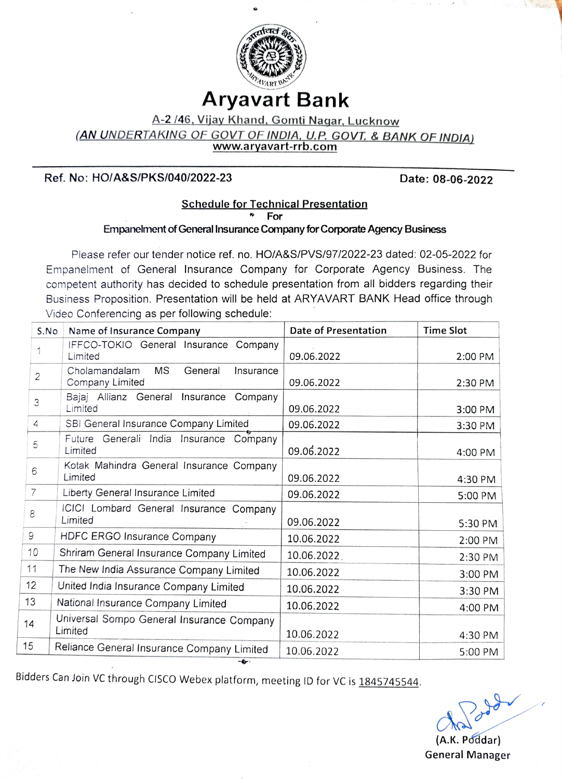

# Aryavart Bank

A-2 /46, Vijay Khand, Gomti Nagar, Lucknow

(AN UNDERTAKING OF GOVT OF INDIA, U.P. GOVT. & BANK OF INDIA)<br>www.aryavart-rrb.com

### Ref. No: HO/A&S/PKS/040/2022-23 Date: 08-06-2022

# Schedule for Technical Presentation For

### Empanelment of General Insurance Company for Corporate Agency Business

Please refer our tender notice ref. no. HOIA&S/PVS/97/2022-23 dated: 02-05-2022 for Empaneiment of General Insurance Company for Corporate Agency Business. The competent authority has decided to schedule presentation from all bidders regarding their Business Proposition. Presentation will be held at ARYAVART BANK Head office through Video Conferencing as per following schedule:

| S.No | Name of Insurance Company                                             | Date of Presentation | <b>Time Slot</b> |
|------|-----------------------------------------------------------------------|----------------------|------------------|
| 1    | IFFCO-TOKIO General Insurance Company<br>Limited                      | 09.06.2022           | 2:00 PM          |
| 2    | <b>MS</b><br>Cholamandalam<br>General<br>Insurance<br>Company Limited | 09.06.2022           | 2:30 PM          |
| 3    | Bajaj Allianz General Insurance Company<br>Limited                    | 09.06.2022           | 3:00 PM          |
| 4    | SBI General Insurance Company Limited                                 | 09.06.2022           | 3:30 PM          |
| 5    | Future Generali India Insurance Company<br>Limited                    | 09.06.2022           | 4:00 PM          |
| 6    | Kotak Mahindra General Insurance Company<br>Limited                   | 09.06.2022           | 4:30 PM          |
| 7    | Liberty General Insurance Limited                                     | 09.06.2022           | 5:00 PM          |
| 8    | ICICI Lombard General Insurance Company<br>Limited                    | 09.06.2022           | 5:30 PM          |
| 9    | HDFC ERGO Insurance Company                                           | 10.06.2022           | 2:00 PM          |
| 10   | Shriram General Insurance Company Limited                             | 10.06.2022           | 2:30 PM          |
| 11   | The New India Assurance Company Limited                               | 10.06.2022           | 3:00 PM          |
| 12   | United India Insurance Company Limited                                | 10.06.2022           | 3:30 PM          |
| 13   | National Insurance Company Limited                                    | 10.06.2022           | 4:00 PM          |
| 14   | Universal Sompo General Insurance Company<br>Limited                  | 10.06.2022           | 4:30 PM          |
| 15   | Reliance General Insurance Company Limited<br>$-2$                    | 10.06.2022           | 5:00 PM          |

Bidders Can Join VC through CISCO Webex platform, meeting ID for VC is 1845745544.

(A.K. Poddar) General Manager